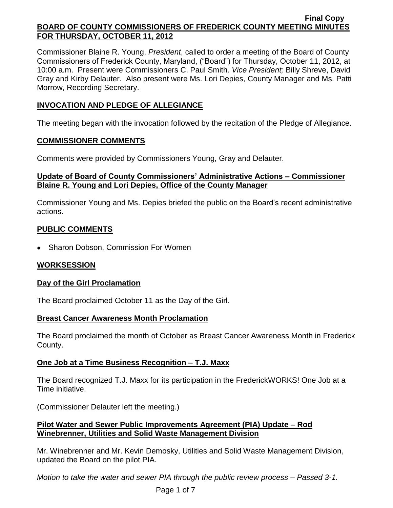Commissioner Blaine R. Young, *President*, called to order a meeting of the Board of County Commissioners of Frederick County, Maryland, ("Board") for Thursday, October 11, 2012, at 10:00 a.m. Present were Commissioners C. Paul Smith*, Vice President;* Billy Shreve, David Gray and Kirby Delauter. Also present were Ms. Lori Depies, County Manager and Ms. Patti Morrow, Recording Secretary.

# **INVOCATION AND PLEDGE OF ALLEGIANCE**

The meeting began with the invocation followed by the recitation of the Pledge of Allegiance.

## **COMMISSIONER COMMENTS**

Comments were provided by Commissioners Young, Gray and Delauter.

## **Update of Board of County Commissioners' Administrative Actions – Commissioner Blaine R. Young and Lori Depies, Office of the County Manager**

Commissioner Young and Ms. Depies briefed the public on the Board's recent administrative actions.

# **PUBLIC COMMENTS**

• Sharon Dobson, Commission For Women

# **WORKSESSION**

# **Day of the Girl Proclamation**

The Board proclaimed October 11 as the Day of the Girl.

### **Breast Cancer Awareness Month Proclamation**

The Board proclaimed the month of October as Breast Cancer Awareness Month in Frederick County.

# **One Job at a Time Business Recognition – T.J. Maxx**

The Board recognized T.J. Maxx for its participation in the FrederickWORKS! One Job at a Time initiative.

(Commissioner Delauter left the meeting.)

## **Pilot Water and Sewer Public Improvements Agreement (PIA) Update – Rod Winebrenner, Utilities and Solid Waste Management Division**

Mr. Winebrenner and Mr. Kevin Demosky, Utilities and Solid Waste Management Division, updated the Board on the pilot PIA.

*Motion to take the water and sewer PIA through the public review process – Passed 3-1.*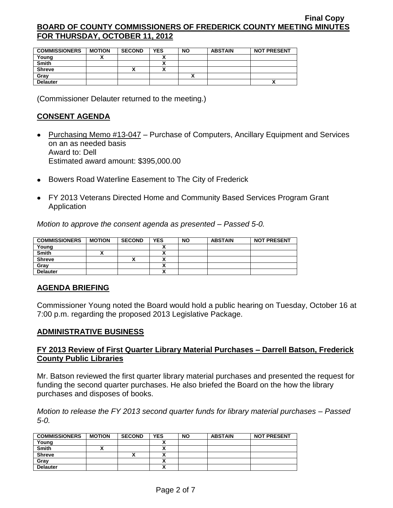| <b>COMMISSIONERS</b> | <b>MOTION</b> | <b>SECOND</b> | <b>YES</b> | NΟ | <b>ABSTAIN</b> | <b>NOT PRESENT</b> |
|----------------------|---------------|---------------|------------|----|----------------|--------------------|
| Young                |               |               |            |    |                |                    |
| <b>Smith</b>         |               |               |            |    |                |                    |
| <b>Shreve</b>        |               | ↗             |            |    |                |                    |
| Gray                 |               |               |            |    |                |                    |
| <b>Delauter</b>      |               |               |            |    |                |                    |

(Commissioner Delauter returned to the meeting.)

### **CONSENT AGENDA**

- Purchasing Memo #13-047 Purchase of Computers, Ancillary Equipment and Services on an as needed basis Award to: Dell Estimated award amount: \$395,000.00
- Bowers Road Waterline Easement to The City of Frederick
- FY 2013 Veterans Directed Home and Community Based Services Program Grant **Application**

*Motion to approve the consent agenda as presented – Passed 5-0.*

| <b>COMMISSIONERS</b> | <b>MOTION</b> | <b>SECOND</b> | <b>YES</b> | <b>NO</b> | <b>ABSTAIN</b> | <b>NOT PRESENT</b> |
|----------------------|---------------|---------------|------------|-----------|----------------|--------------------|
| Young                |               |               |            |           |                |                    |
| <b>Smith</b>         |               |               |            |           |                |                    |
| <b>Shreve</b>        |               |               |            |           |                |                    |
| Grav                 |               |               |            |           |                |                    |
| <b>Delauter</b>      |               |               | ~          |           |                |                    |

### **AGENDA BRIEFING**

Commissioner Young noted the Board would hold a public hearing on Tuesday, October 16 at 7:00 p.m. regarding the proposed 2013 Legislative Package.

### **ADMINISTRATIVE BUSINESS**

### **FY 2013 Review of First Quarter Library Material Purchases – Darrell Batson, Frederick County Public Libraries**

Mr. Batson reviewed the first quarter library material purchases and presented the request for funding the second quarter purchases. He also briefed the Board on the how the library purchases and disposes of books.

*Motion to release the FY 2013 second quarter funds for library material purchases – Passed 5-0.*

| <b>COMMISSIONERS</b> | <b>MOTION</b> | <b>SECOND</b> | <b>YES</b> | <b>NO</b> | <b>ABSTAIN</b> | <b>NOT PRESENT</b> |
|----------------------|---------------|---------------|------------|-----------|----------------|--------------------|
| Young                |               |               |            |           |                |                    |
| <b>Smith</b>         |               |               |            |           |                |                    |
| <b>Shreve</b>        |               |               |            |           |                |                    |
| Gray                 |               |               | ~          |           |                |                    |
| <b>Delauter</b>      |               |               | ↗          |           |                |                    |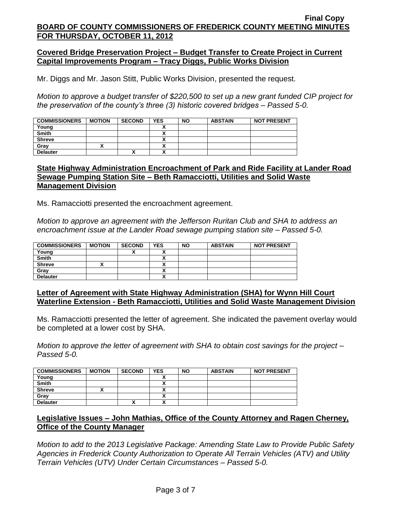### **Covered Bridge Preservation Project – Budget Transfer to Create Project in Current Capital Improvements Program – Tracy Diggs, Public Works Division**

Mr. Diggs and Mr. Jason Stitt, Public Works Division, presented the request.

*Motion to approve a budget transfer of \$220,500 to set up a new grant funded CIP project for the preservation of the county's three (3) historic covered bridges – Passed 5-0.*

| <b>COMMISSIONERS</b> | <b>MOTION</b> | <b>SECOND</b> | <b>YES</b> | <b>NO</b> | <b>ABSTAIN</b> | <b>NOT PRESENT</b> |
|----------------------|---------------|---------------|------------|-----------|----------------|--------------------|
| Young                |               |               |            |           |                |                    |
| <b>Smith</b>         |               |               |            |           |                |                    |
| <b>Shreve</b>        |               |               |            |           |                |                    |
| Gray                 |               |               |            |           |                |                    |
| <b>Delauter</b>      |               | ́             |            |           |                |                    |

#### **State Highway Administration Encroachment of Park and Ride Facility at Lander Road Sewage Pumping Station Site – Beth Ramacciotti, Utilities and Solid Waste Management Division**

Ms. Ramacciotti presented the encroachment agreement.

*Motion to approve an agreement with the Jefferson Ruritan Club and SHA to address an encroachment issue at the Lander Road sewage pumping station site – Passed 5-0.*

| <b>COMMISSIONERS</b> | <b>MOTION</b> | <b>SECOND</b> | <b>YES</b>           | <b>NO</b> | <b>ABSTAIN</b> | <b>NOT PRESENT</b> |
|----------------------|---------------|---------------|----------------------|-----------|----------------|--------------------|
| Young                |               |               | `                    |           |                |                    |
| <b>Smith</b>         |               |               | $\ddot{\phantom{0}}$ |           |                |                    |
| <b>Shreve</b>        |               |               |                      |           |                |                    |
| Gray                 |               |               | v                    |           |                |                    |
| <b>Delauter</b>      |               |               | ^                    |           |                |                    |

### **Letter of Agreement with State Highway Administration (SHA) for Wynn Hill Court Waterline Extension - Beth Ramacciotti, Utilities and Solid Waste Management Division**

Ms. Ramacciotti presented the letter of agreement. She indicated the pavement overlay would be completed at a lower cost by SHA.

*Motion to approve the letter of agreement with SHA to obtain cost savings for the project – Passed 5-0.*

| <b>COMMISSIONERS</b> | <b>MOTION</b> | <b>SECOND</b> | <b>YES</b> | <b>NO</b> | <b>ABSTAIN</b> | <b>NOT PRESENT</b> |
|----------------------|---------------|---------------|------------|-----------|----------------|--------------------|
| Young                |               |               |            |           |                |                    |
| <b>Smith</b>         |               |               |            |           |                |                    |
| <b>Shreve</b>        |               |               |            |           |                |                    |
| Gray                 |               |               |            |           |                |                    |
| <b>Delauter</b>      |               | ٠.<br>Δ       |            |           |                |                    |

## **Legislative Issues – John Mathias, Office of the County Attorney and Ragen Cherney, Office of the County Manager**

*Motion to add to the 2013 Legislative Package: Amending State Law to Provide Public Safety Agencies in Frederick County Authorization to Operate All Terrain Vehicles (ATV) and Utility Terrain Vehicles (UTV) Under Certain Circumstances – Passed 5-0.*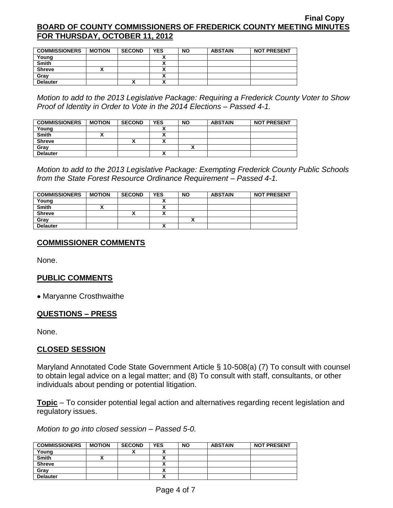| <b>COMMISSIONERS</b> | <b>MOTION</b> | <b>SECOND</b> | YES                      | <b>NO</b> | <b>ABSTAIN</b> | <b>NOT PRESENT</b> |
|----------------------|---------------|---------------|--------------------------|-----------|----------------|--------------------|
| Young                |               |               |                          |           |                |                    |
| <b>Smith</b>         |               |               | ^                        |           |                |                    |
| <b>Shreve</b>        |               |               |                          |           |                |                    |
| Gray                 |               |               |                          |           |                |                    |
| <b>Delauter</b>      |               | $\cdot$       | $\overline{\phantom{a}}$ |           |                |                    |

*Motion to add to the 2013 Legislative Package: Requiring a Frederick County Voter to Show Proof of Identity in Order to Vote in the 2014 Elections – Passed 4-1.*

| <b>COMMISSIONERS</b> | <b>MOTION</b> | <b>SECOND</b> | <b>YES</b> | <b>NO</b> | <b>ABSTAIN</b> | <b>NOT PRESENT</b> |
|----------------------|---------------|---------------|------------|-----------|----------------|--------------------|
| Young                |               |               |            |           |                |                    |
| <b>Smith</b>         |               |               |            |           |                |                    |
| <b>Shreve</b>        |               |               |            |           |                |                    |
| Gray                 |               |               |            |           |                |                    |
| <b>Delauter</b>      |               |               |            |           |                |                    |

*Motion to add to the 2013 Legislative Package: Exempting Frederick County Public Schools from the State Forest Resource Ordinance Requirement – Passed 4-1.*

| <b>COMMISSIONERS</b> | <b>MOTION</b> | <b>SECOND</b> | <b>YES</b> | <b>NO</b> | <b>ABSTAIN</b> | <b>NOT PRESENT</b> |
|----------------------|---------------|---------------|------------|-----------|----------------|--------------------|
| Young                |               |               |            |           |                |                    |
| <b>Smith</b>         |               |               |            |           |                |                    |
| <b>Shreve</b>        |               | ↗             |            |           |                |                    |
| Grav                 |               |               |            |           |                |                    |
| <b>Delauter</b>      |               |               |            |           |                |                    |

# **COMMISSIONER COMMENTS**

None.

# **PUBLIC COMMENTS**

Maryanne Crosthwaithe

### **QUESTIONS – PRESS**

None.

### **CLOSED SESSION**

Maryland Annotated Code State Government Article § 10-508(a) (7) To consult with counsel to obtain legal advice on a legal matter; and (8) To consult with staff, consultants, or other individuals about pending or potential litigation.

**Topic** – To consider potential legal action and alternatives regarding recent legislation and regulatory issues.

*Motion to go into closed session – Passed 5-0.*

| <b>COMMISSIONERS</b> | <b>MOTION</b> | <b>SECOND</b> | <b>YES</b> | <b>NO</b> | <b>ABSTAIN</b> | <b>NOT PRESENT</b> |
|----------------------|---------------|---------------|------------|-----------|----------------|--------------------|
| Young                |               |               |            |           |                |                    |
| <b>Smith</b>         |               |               |            |           |                |                    |
| <b>Shreve</b>        |               |               |            |           |                |                    |
| Grav                 |               |               |            |           |                |                    |
| <b>Delauter</b>      |               |               | ,,         |           |                |                    |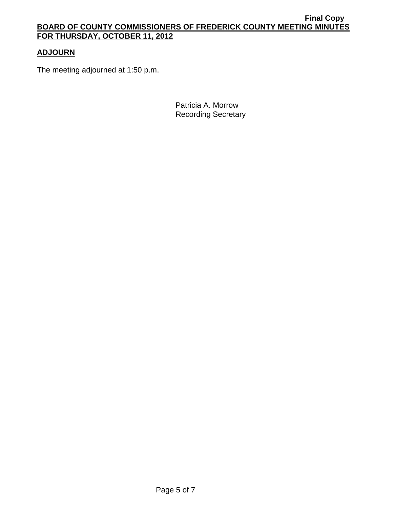# **ADJOURN**

The meeting adjourned at 1:50 p.m.

Patricia A. Morrow Recording Secretary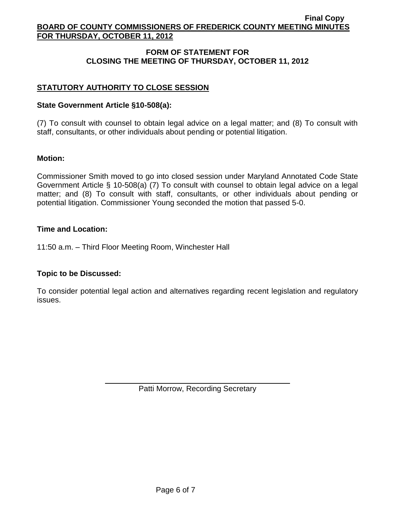## **FORM OF STATEMENT FOR CLOSING THE MEETING OF THURSDAY, OCTOBER 11, 2012**

# **STATUTORY AUTHORITY TO CLOSE SESSION**

## **State Government Article §10-508(a):**

(7) To consult with counsel to obtain legal advice on a legal matter; and (8) To consult with staff, consultants, or other individuals about pending or potential litigation.

## **Motion:**

Commissioner Smith moved to go into closed session under Maryland Annotated Code State Government Article § 10-508(a) (7) To consult with counsel to obtain legal advice on a legal matter; and (8) To consult with staff, consultants, or other individuals about pending or potential litigation. Commissioner Young seconded the motion that passed 5-0.

### **Time and Location:**

11:50 a.m. – Third Floor Meeting Room, Winchester Hall

### **Topic to be Discussed:**

To consider potential legal action and alternatives regarding recent legislation and regulatory issues.

Patti Morrow, Recording Secretary